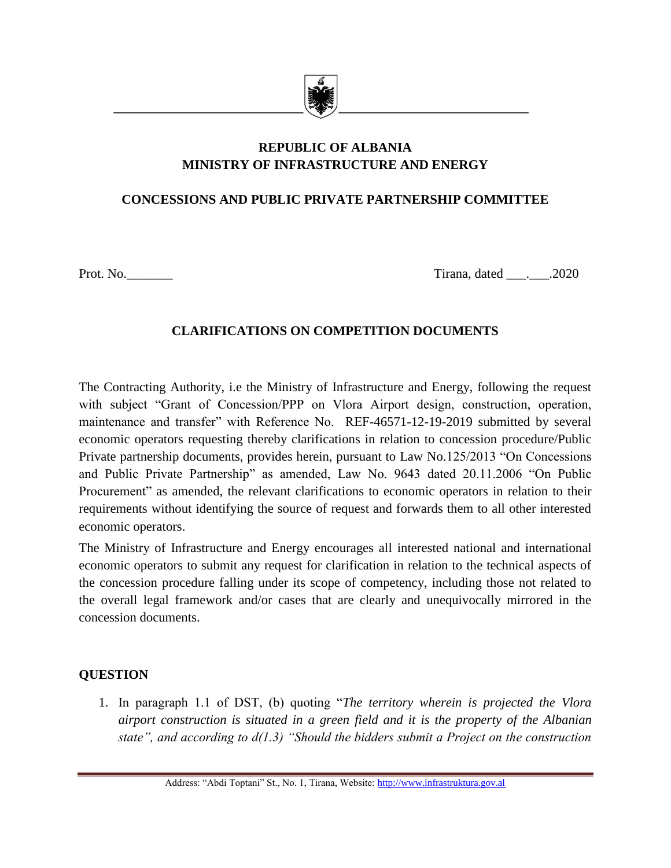

# **REPUBLIC OF ALBANIA MINISTRY OF INFRASTRUCTURE AND ENERGY**

### **CONCESSIONS AND PUBLIC PRIVATE PARTNERSHIP COMMITTEE**

Prot. No. 2020

#### **CLARIFICATIONS ON COMPETITION DOCUMENTS**

The Contracting Authority, i.e the Ministry of Infrastructure and Energy, following the request with subject "Grant of Concession/PPP on Vlora Airport design, construction, operation, maintenance and transfer" with Reference No. REF-46571-12-19-2019 submitted by several economic operators requesting thereby clarifications in relation to concession procedure/Public Private partnership documents, provides herein, pursuant to Law No.125/2013 "On Concessions and Public Private Partnership" as amended, Law No. 9643 dated 20.11.2006 "On Public Procurement" as amended, the relevant clarifications to economic operators in relation to their requirements without identifying the source of request and forwards them to all other interested economic operators.

The Ministry of Infrastructure and Energy encourages all interested national and international economic operators to submit any request for clarification in relation to the technical aspects of the concession procedure falling under its scope of competency, including those not related to the overall legal framework and/or cases that are clearly and unequivocally mirrored in the concession documents.

## **QUESTION**

1. In paragraph 1.1 of DST, (b) quoting "*The territory wherein is projected the Vlora airport construction is situated in a green field and it is the property of the Albanian state", and according to d(1.3) "Should the bidders submit a Project on the construction*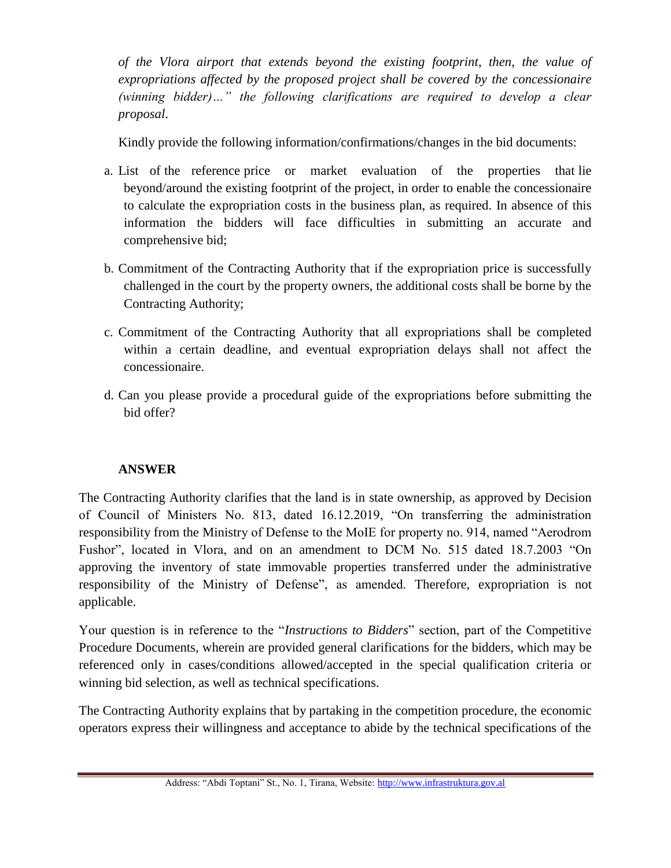*of the Vlora airport that extends beyond the existing footprint, then, the value of expropriations affected by the proposed project shall be covered by the concessionaire (winning bidder)…" the following clarifications are required to develop a clear proposal*.

Kindly provide the following information/confirmations/changes in the bid documents:

- a. List of the reference price or market evaluation of the properties that lie beyond/around the existing footprint of the project, in order to enable the concessionaire to calculate the expropriation costs in the business plan, as required. In absence of this information the bidders will face difficulties in submitting an accurate and comprehensive bid;
- b. Commitment of the Contracting Authority that if the expropriation price is successfully challenged in the court by the property owners, the additional costs shall be borne by the Contracting Authority;
- c. Commitment of the Contracting Authority that all expropriations shall be completed within a certain deadline, and eventual expropriation delays shall not affect the concessionaire.
- d. Can you please provide a procedural guide of the expropriations before submitting the bid offer?

# **ANSWER**

The Contracting Authority clarifies that the land is in state ownership, as approved by Decision of Council of Ministers No. 813, dated 16.12.2019, "On transferring the administration responsibility from the Ministry of Defense to the MoIE for property no. 914, named "Aerodrom Fushor", located in Vlora, and on an amendment to DCM No. 515 dated 18.7.2003 "On approving the inventory of state immovable properties transferred under the administrative responsibility of the Ministry of Defense", as amended. Therefore, expropriation is not applicable.

Your question is in reference to the "*Instructions to Bidders*" section, part of the Competitive Procedure Documents, wherein are provided general clarifications for the bidders, which may be referenced only in cases/conditions allowed/accepted in the special qualification criteria or winning bid selection, as well as technical specifications.

The Contracting Authority explains that by partaking in the competition procedure, the economic operators express their willingness and acceptance to abide by the technical specifications of the

Address: "Abdi Toptani" St., No. 1, Tirana, Website[: http://www.infrastruktura.gov.al](http://www.infrastruktura.gov.al/)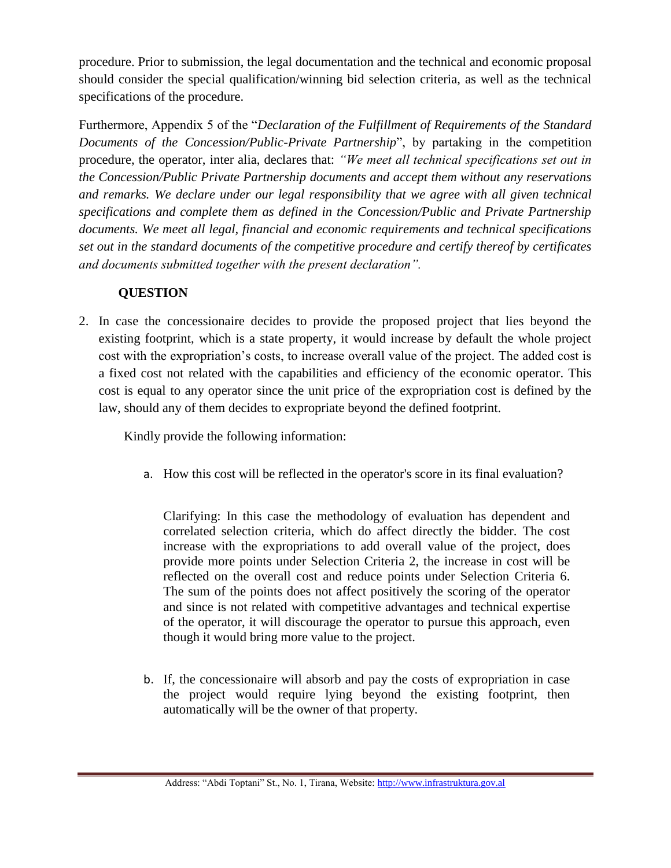procedure. Prior to submission, the legal documentation and the technical and economic proposal should consider the special qualification/winning bid selection criteria, as well as the technical specifications of the procedure.

Furthermore, Appendix 5 of the "*Declaration of the Fulfillment of Requirements of the Standard Documents of the Concession/Public-Private Partnership*", by partaking in the competition procedure, the operator, inter alia, declares that: *"We meet all technical specifications set out in the Concession/Public Private Partnership documents and accept them without any reservations and remarks. We declare under our legal responsibility that we agree with all given technical specifications and complete them as defined in the Concession/Public and Private Partnership documents. We meet all legal, financial and economic requirements and technical specifications set out in the standard documents of the competitive procedure and certify thereof by certificates and documents submitted together with the present declaration".*

## **QUESTION**

2. In case the concessionaire decides to provide the proposed project that lies beyond the existing footprint, which is a state property, it would increase by default the whole project cost with the expropriation's costs, to increase overall value of the project. The added cost is a fixed cost not related with the capabilities and efficiency of the economic operator. This cost is equal to any operator since the unit price of the expropriation cost is defined by the law, should any of them decides to expropriate beyond the defined footprint.

Kindly provide the following information:

a. How this cost will be reflected in the operator's score in its final evaluation?

Clarifying: In this case the methodology of evaluation has dependent and correlated selection criteria, which do affect directly the bidder. The cost increase with the expropriations to add overall value of the project, does provide more points under Selection Criteria 2, the increase in cost will be reflected on the overall cost and reduce points under Selection Criteria 6. The sum of the points does not affect positively the scoring of the operator and since is not related with competitive advantages and technical expertise of the operator, it will discourage the operator to pursue this approach, even though it would bring more value to the project.

b. If, the concessionaire will absorb and pay the costs of expropriation in case the project would require lying beyond the existing footprint, then automatically will be the owner of that property.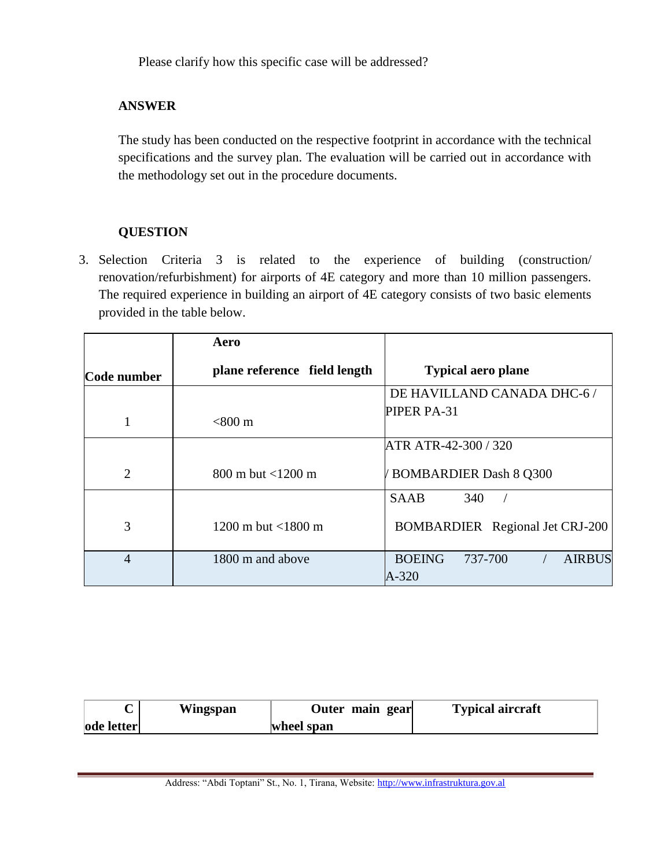Please clarify how this specific case will be addressed?

#### **ANSWER**

The study has been conducted on the respective footprint in accordance with the technical specifications and the survey plan. The evaluation will be carried out in accordance with the methodology set out in the procedure documents.

### **QUESTION**

3. Selection Criteria 3 is related to the experience of building (construction/ renovation/refurbishment) for airports of 4E category and more than 10 million passengers. The required experience in building an airport of 4E category consists of two basic elements provided in the table below.

|                | Aero                                     |                                                        |
|----------------|------------------------------------------|--------------------------------------------------------|
| Code number    | plane reference field length             | <b>Typical aero plane</b>                              |
|                |                                          | DE HAVILLAND CANADA DHC-6 /                            |
| $\mathbf{1}$   | $<$ 800 m                                | PIPER PA-31                                            |
|                |                                          | ATR ATR-42-300 / 320                                   |
| $\overline{2}$ | $800 \text{ m}$ but $\lt 1200 \text{ m}$ | <b>BOMBARDIER Dash 8 Q300</b>                          |
|                |                                          | <b>SAAB</b><br>340                                     |
| 3              | 1200 m but $\lt$ 1800 m                  | <b>BOMBARDIER</b> Regional Jet CRJ-200                 |
| $\overline{4}$ | 1800 m and above                         | <b>BOEING</b><br>737-700<br><b>AIRBUS</b><br>$A - 320$ |

|                   | Wingspan   | Outer main gear | <b>Typical aircraft</b> |
|-------------------|------------|-----------------|-------------------------|
| <b>ode letter</b> | wheel span |                 |                         |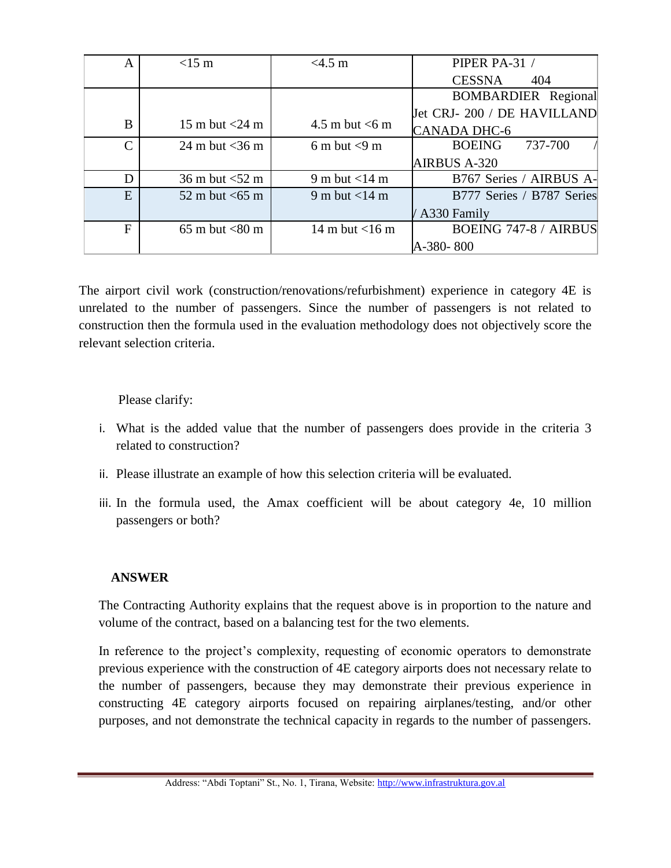| A             | $<15$ m                             | <4.5 m            | PIPER PA-31 /                |
|---------------|-------------------------------------|-------------------|------------------------------|
|               |                                     |                   | <b>CESSNA</b><br>404         |
|               |                                     |                   | <b>BOMBARDIER</b> Regional   |
|               |                                     |                   | Jet CRJ-200 / DE HAVILLAND   |
| B             | 15 m but $<$ 24 m                   | 4.5 m but $<$ 6 m | <b>CANADA DHC-6</b>          |
| $\mathcal{C}$ | 24 m but $<$ 36 m                   | 6 m but $<$ 9 m   | <b>BOEING</b><br>737-700     |
|               |                                     |                   | <b>AIRBUS A-320</b>          |
| D             | $36 \text{ m}$ but $< 52 \text{ m}$ | 9 m but $<$ 14 m  | B767 Series / AIRBUS A-      |
| E             | 52 m but $<$ 65 m                   | 9 m but $<$ 14 m  | B777 Series / B787 Series    |
|               |                                     |                   | / A330 Family                |
| $\mathbf{F}$  | $65 \text{ m}$ but $< 80 \text{ m}$ | 14 m but $<$ 16 m | <b>BOEING 747-8 / AIRBUS</b> |
|               |                                     |                   | A-380-800                    |

The airport civil work (construction/renovations/refurbishment) experience in category 4E is unrelated to the number of passengers. Since the number of passengers is not related to construction then the formula used in the evaluation methodology does not objectively score the relevant selection criteria.

#### Please clarify:

- i. What is the added value that the number of passengers does provide in the criteria 3 related to construction?
- ii. Please illustrate an example of how this selection criteria will be evaluated.
- iii. In the formula used, the Amax coefficient will be about category 4e, 10 million passengers or both?

#### **ANSWER**

The Contracting Authority explains that the request above is in proportion to the nature and volume of the contract, based on a balancing test for the two elements.

In reference to the project's complexity, requesting of economic operators to demonstrate previous experience with the construction of 4E category airports does not necessary relate to the number of passengers, because they may demonstrate their previous experience in constructing 4E category airports focused on repairing airplanes/testing, and/or other purposes, and not demonstrate the technical capacity in regards to the number of passengers.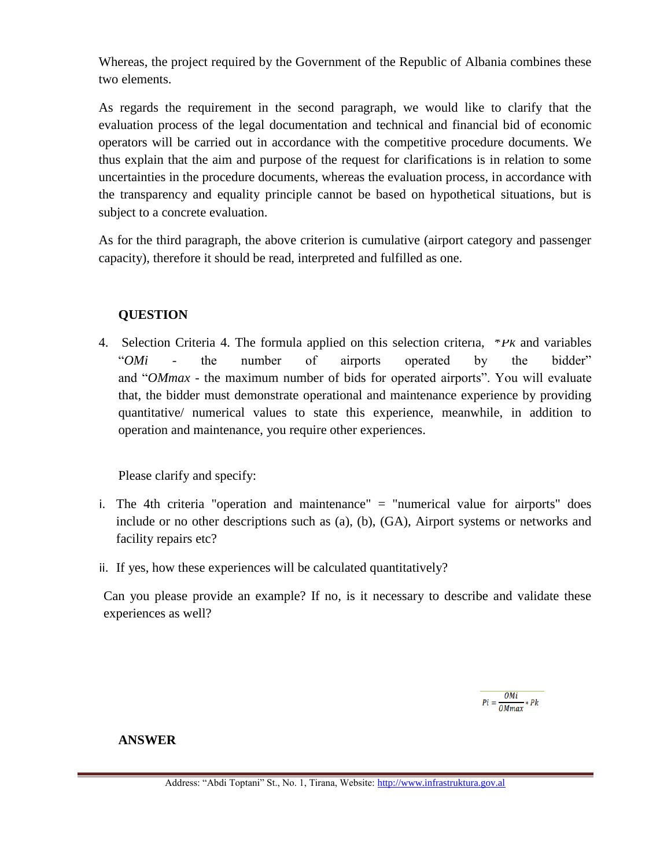Whereas, the project required by the Government of the Republic of Albania combines these two elements.

As regards the requirement in the second paragraph, we would like to clarify that the evaluation process of the legal documentation and technical and financial bid of economic operators will be carried out in accordance with the competitive procedure documents. We thus explain that the aim and purpose of the request for clarifications is in relation to some uncertainties in the procedure documents, whereas the evaluation process, in accordance with the transparency and equality principle cannot be based on hypothetical situations, but is subject to a concrete evaluation.

As for the third paragraph, the above criterion is cumulative (airport category and passenger capacity), therefore it should be read, interpreted and fulfilled as one.

### **QUESTION**

4. Selection Criteria 4. The formula applied on this selection criteria, \**Pk* and variables "*OMi* - the number of airports operated by the bidder" and "*OMmax* - the maximum number of bids for operated airports". You will evaluate that, the bidder must demonstrate operational and maintenance experience by providing quantitative/ numerical values to state this experience, meanwhile, in addition to operation and maintenance, you require other experiences.

Please clarify and specify:

- i. The 4th criteria "operation and maintenance" = "numerical value for airports" does include or no other descriptions such as (a), (b), (GA), Airport systems or networks and facility repairs etc?
- ii. If yes, how these experiences will be calculated quantitatively?

Can you please provide an example? If no, is it necessary to describe and validate these experiences as well?

 $Pi = \frac{OMi}{OMmax * Pk}$ 

#### **ANSWER**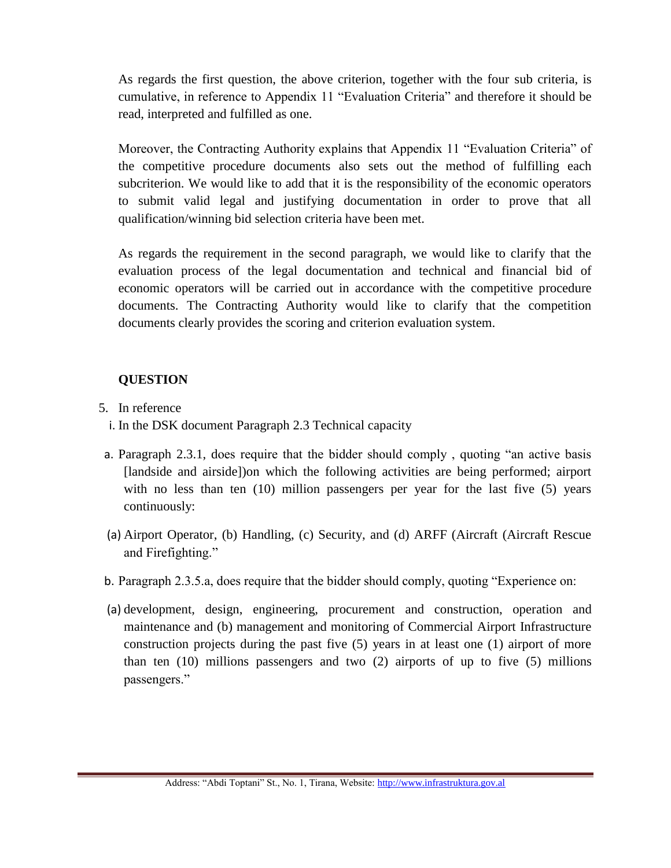As regards the first question, the above criterion, together with the four sub criteria, is cumulative, in reference to Appendix 11 "Evaluation Criteria" and therefore it should be read, interpreted and fulfilled as one.

Moreover, the Contracting Authority explains that Appendix 11 "Evaluation Criteria" of the competitive procedure documents also sets out the method of fulfilling each subcriterion. We would like to add that it is the responsibility of the economic operators to submit valid legal and justifying documentation in order to prove that all qualification/winning bid selection criteria have been met.

As regards the requirement in the second paragraph, we would like to clarify that the evaluation process of the legal documentation and technical and financial bid of economic operators will be carried out in accordance with the competitive procedure documents. The Contracting Authority would like to clarify that the competition documents clearly provides the scoring and criterion evaluation system.

## **QUESTION**

- 5. In reference
	- i. In the DSK document Paragraph 2.3 Technical capacity
- a. Paragraph 2.3.1, does require that the bidder should comply , quoting "an active basis [landside and airside])on which the following activities are being performed; airport with no less than ten (10) million passengers per year for the last five (5) years continuously:
- (a) Airport Operator, (b) Handling, (c) Security, and (d) ARFF (Aircraft (Aircraft Rescue and Firefighting."
- b. Paragraph 2.3.5.a, does require that the bidder should comply, quoting "Experience on:
- (a) development, design, engineering, procurement and construction, operation and maintenance and (b) management and monitoring of Commercial Airport Infrastructure construction projects during the past five (5) years in at least one (1) airport of more than ten  $(10)$  millions passengers and two  $(2)$  airports of up to five  $(5)$  millions passengers."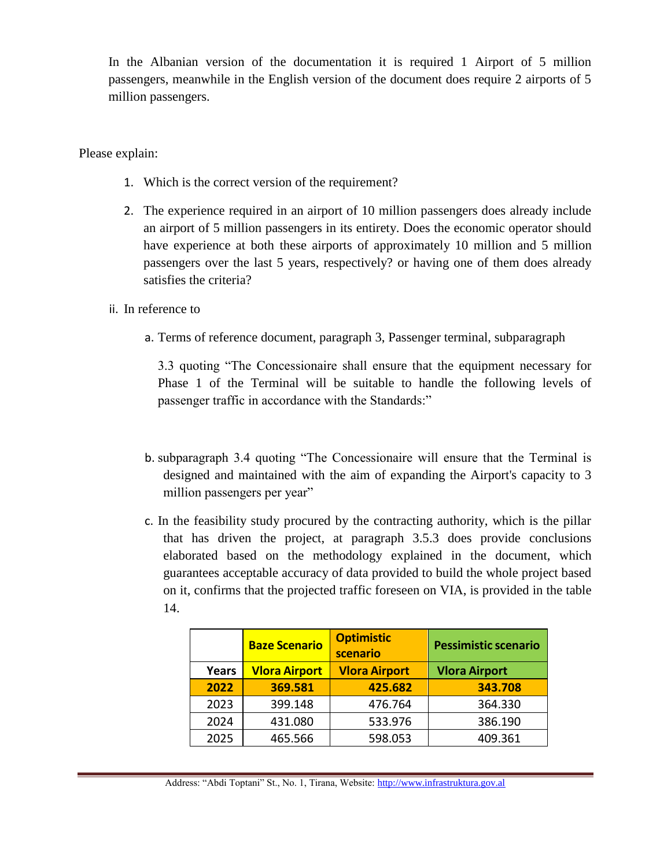In the Albanian version of the documentation it is required 1 Airport of 5 million passengers, meanwhile in the English version of the document does require 2 airports of 5 million passengers.

Please explain:

- 1. Which is the correct version of the requirement?
- 2. The experience required in an airport of 10 million passengers does already include an airport of 5 million passengers in its entirety. Does the economic operator should have experience at both these airports of approximately 10 million and 5 million passengers over the last 5 years, respectively? or having one of them does already satisfies the criteria?
- ii. In reference to
	- a. Terms of reference document, paragraph 3, Passenger terminal, subparagraph

3.3 quoting "The Concessionaire shall ensure that the equipment necessary for Phase 1 of the Terminal will be suitable to handle the following levels of passenger traffic in accordance with the Standards:"

- b. subparagraph 3.4 quoting "The Concessionaire will ensure that the Terminal is designed and maintained with the aim of expanding the Airport's capacity to 3 million passengers per year"
- c. In the feasibility study procured by the contracting authority, which is the pillar that has driven the project, at paragraph 3.5.3 does provide conclusions elaborated based on the methodology explained in the document, which guarantees acceptable accuracy of data provided to build the whole project based on it, confirms that the projected traffic foreseen on VIA, is provided in the table 14.

|       | <b>Baze Scenario</b> | <b>Optimistic</b><br>scenario | <b>Pessimistic scenario</b> |
|-------|----------------------|-------------------------------|-----------------------------|
| Years | <b>Vlora Airport</b> | <b>Vlora Airport</b>          | <b>Vlora Airport</b>        |
| 2022  | 369.581              | 425.682                       | 343.708                     |
| 2023  | 399.148              | 476.764                       | 364.330                     |
| 2024  | 431.080              | 533.976                       | 386.190                     |
| 2025  | 465.566              | 598.053                       | 409.361                     |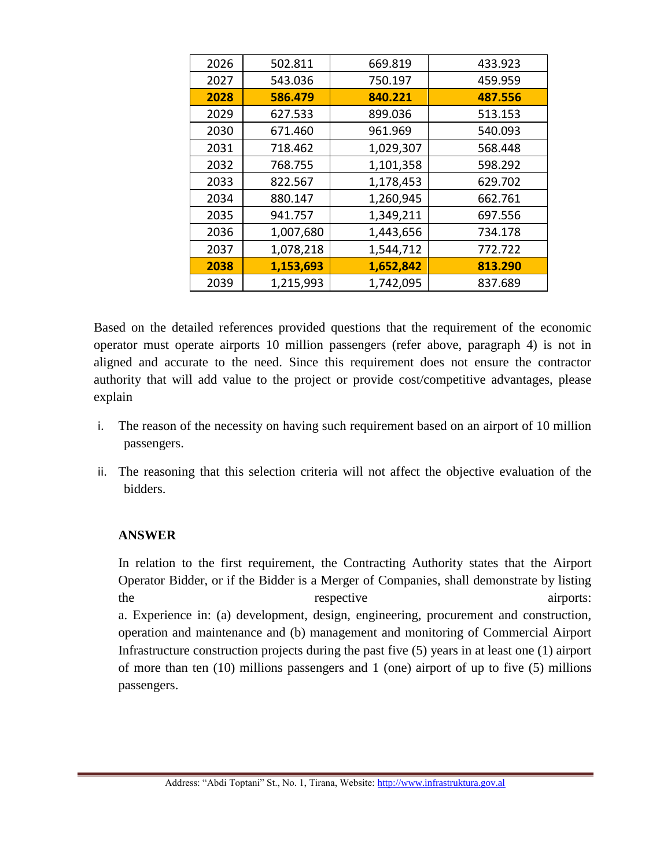| 2026 | 502.811   | 669.819   | 433.923 |
|------|-----------|-----------|---------|
| 2027 | 543.036   | 750.197   | 459.959 |
| 2028 | 586.479   | 840.221   | 487.556 |
| 2029 | 627.533   | 899.036   | 513.153 |
| 2030 | 671.460   | 961.969   | 540.093 |
| 2031 | 718.462   | 1,029,307 | 568.448 |
| 2032 | 768.755   | 1,101,358 | 598.292 |
| 2033 | 822.567   | 1,178,453 | 629.702 |
| 2034 | 880.147   | 1,260,945 | 662.761 |
| 2035 | 941.757   | 1,349,211 | 697.556 |
| 2036 | 1,007,680 | 1,443,656 | 734.178 |
| 2037 | 1,078,218 | 1,544,712 | 772.722 |
| 2038 | 1,153,693 | 1,652,842 | 813.290 |
| 2039 | 1,215,993 | 1,742,095 | 837.689 |

Based on the detailed references provided questions that the requirement of the economic operator must operate airports 10 million passengers (refer above, paragraph 4) is not in aligned and accurate to the need. Since this requirement does not ensure the contractor authority that will add value to the project or provide cost/competitive advantages, please explain

- i. The reason of the necessity on having such requirement based on an airport of 10 million passengers.
- ii. The reasoning that this selection criteria will not affect the objective evaluation of the bidders.

#### **ANSWER**

In relation to the first requirement, the Contracting Authority states that the Airport Operator Bidder, or if the Bidder is a Merger of Companies, shall demonstrate by listing the respective airports: a. Experience in: (a) development, design, engineering, procurement and construction, operation and maintenance and (b) management and monitoring of Commercial Airport Infrastructure construction projects during the past five (5) years in at least one (1) airport of more than ten (10) millions passengers and 1 (one) airport of up to five (5) millions passengers.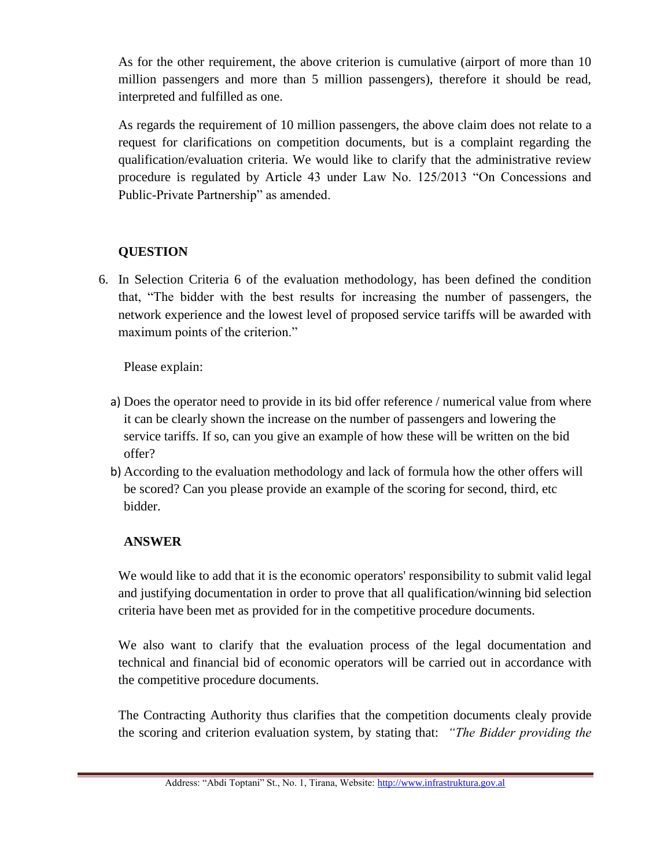As for the other requirement, the above criterion is cumulative (airport of more than 10 million passengers and more than 5 million passengers), therefore it should be read, interpreted and fulfilled as one.

As regards the requirement of 10 million passengers, the above claim does not relate to a request for clarifications on competition documents, but is a complaint regarding the qualification/evaluation criteria. We would like to clarify that the administrative review procedure is regulated by Article 43 under Law No. 125/2013 "On Concessions and Public-Private Partnership" as amended.

## **QUESTION**

6. In Selection Criteria 6 of the evaluation methodology, has been defined the condition that, "The bidder with the best results for increasing the number of passengers, the network experience and the lowest level of proposed service tariffs will be awarded with maximum points of the criterion."

Please explain:

- a) Does the operator need to provide in its bid offer reference / numerical value from where it can be clearly shown the increase on the number of passengers and lowering the service tariffs. If so, can you give an example of how these will be written on the bid offer?
- b) According to the evaluation methodology and lack of formula how the other offers will be scored? Can you please provide an example of the scoring for second, third, etc bidder.

# **ANSWER**

We would like to add that it is the economic operators' responsibility to submit valid legal and justifying documentation in order to prove that all qualification/winning bid selection criteria have been met as provided for in the competitive procedure documents.

We also want to clarify that the evaluation process of the legal documentation and technical and financial bid of economic operators will be carried out in accordance with the competitive procedure documents.

The Contracting Authority thus clarifies that the competition documents clealy provide the scoring and criterion evaluation system, by stating that: *"The Bidder providing the* 

Address: "Abdi Toptani" St., No. 1, Tirana, Website[: http://www.infrastruktura.gov.al](http://www.infrastruktura.gov.al/)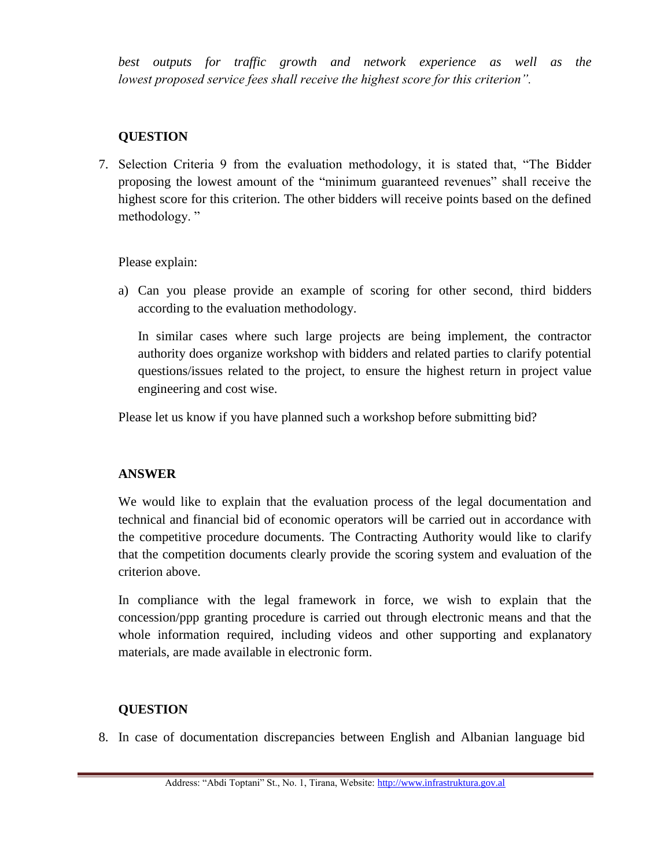*best outputs for traffic growth and network experience as well as the lowest proposed service fees shall receive the highest score for this criterion".*

### **QUESTION**

7. Selection Criteria 9 from the evaluation methodology, it is stated that, "The Bidder proposing the lowest amount of the "minimum guaranteed revenues" shall receive the highest score for this criterion. The other bidders will receive points based on the defined methodology."

Please explain:

a) Can you please provide an example of scoring for other second, third bidders according to the evaluation methodology.

In similar cases where such large projects are being implement, the contractor authority does organize workshop with bidders and related parties to clarify potential questions/issues related to the project, to ensure the highest return in project value engineering and cost wise.

Please let us know if you have planned such a workshop before submitting bid?

#### **ANSWER**

We would like to explain that the evaluation process of the legal documentation and technical and financial bid of economic operators will be carried out in accordance with the competitive procedure documents. The Contracting Authority would like to clarify that the competition documents clearly provide the scoring system and evaluation of the criterion above.

In compliance with the legal framework in force, we wish to explain that the concession/ppp granting procedure is carried out through electronic means and that the whole information required, including videos and other supporting and explanatory materials, are made available in electronic form.

#### **QUESTION**

8. In case of documentation discrepancies between English and Albanian language bid